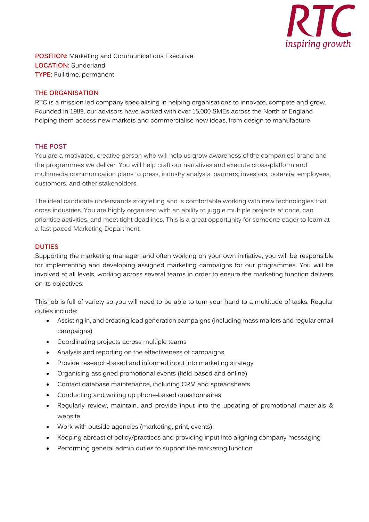

**POSITION:** Marketing and Communications Executive **LOCATION:** Sunderland **TYPE:** Full time, permanent

#### **THE ORGANISATION**

RTC is a mission led company specialising in helping organisations to innovate, compete and grow. Founded in 1989, our advisors have worked with over 15,000 SMEs across the North of England helping them access new markets and commercialise new ideas, from design to manufacture.

## **THE POST**

You are a motivated, creative person who will help us grow awareness of the companies' brand and the programmes we deliver. You will help craft our narratives and execute cross-platform and multimedia communication plans to press, industry analysts, partners, investors, potential employees, customers, and other stakeholders.

The ideal candidate understands storytelling and is comfortable working with new technologies that cross industries. You are highly organised with an ability to juggle multiple projects at once, can prioritise activities, and meet tight deadlines. This is a great opportunity for someone eager to learn at a fast-paced Marketing Department.

## **DUTIES**

Supporting the marketing manager, and often working on your own initiative, you will be responsible for implementing and developing assigned marketing campaigns for our programmes. You will be involved at all levels, working across several teams in order to ensure the marketing function delivers on its objectives.

This job is full of variety so you will need to be able to turn your hand to a multitude of tasks. Regular duties include:

- Assisting in, and creating lead generation campaigns (including mass mailers and regular email campaigns)
- Coordinating projects across multiple teams
- Analysis and reporting on the effectiveness of campaigns
- Provide research-based and informed input into marketing strategy
- Organising assigned promotional events (field-based and online)
- Contact database maintenance, including CRM and spreadsheets
- Conducting and writing up phone-based questionnaires
- Regularly review, maintain, and provide input into the updating of promotional materials & website
- Work with outside agencies (marketing, print, events)
- Keeping abreast of policy/practices and providing input into aligning company messaging
- Performing general admin duties to support the marketing function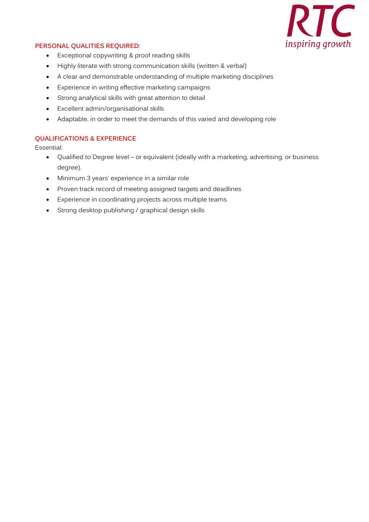

# **PERSONAL QUALITIES REQUIRED:**

- Exceptional copywriting & proof reading skills
- Highly literate with strong communication skills (written & verbal)
- A clear and demonstrable understanding of multiple marketing disciplines
- Experience in writing effective marketing campaigns
- Strong analytical skills with great attention to detail
- Excellent admin/organisational skills
- Adaptable, in order to meet the demands of this varied and developing role

## **QUALIFICATIONS & EXPERIENCE**

Essential:

- Qualified to Degree level or equivalent (ideally with a marketing, advertising, or business degree).
- Minimum 3 years' experience in a similar role
- Proven track record of meeting assigned targets and deadlines
- Experience in coordinating projects across multiple teams
- Strong desktop publishing / graphical design skills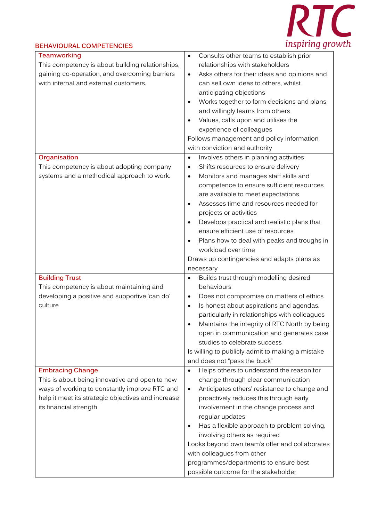

#### **BEHAVIOURAL COMPETENCIES Teamworking** This competency is about building relationships, gaining co-operation, and overcoming barriers with internal and external customers. • Consults other teams to establish prior relationships with stakeholders • Asks others for their ideas and opinions and can sell own ideas to others, whilst anticipating objections • Works together to form decisions and plans and willingly learns from others • Values, calls upon and utilises the experience of colleagues Follows management and policy information with conviction and authority **Organisation** This competency is about adopting company systems and a methodical approach to work. • Involves others in planning activities Shifts resources to ensure delivery • Monitors and manages staff skills and competence to ensure sufficient resources are available to meet expectations • Assesses time and resources needed for projects or activities • Develops practical and realistic plans that ensure efficient use of resources • Plans how to deal with peaks and troughs in workload over time Draws up contingencies and adapts plans as necessary **Building Trust** This competency is about maintaining and developing a positive and supportive 'can do' culture • Builds trust through modelling desired behaviours • Does not compromise on matters of ethics Is honest about aspirations and agendas, particularly in relationships with colleagues • Maintains the integrity of RTC North by being open in communication and generates case studies to celebrate success Is willing to publicly admit to making a mistake and does not "pass the buck" **Embracing Change** This is about being innovative and open to new ways of working to constantly improve RTC and help it meet its strategic objectives and increase its financial strength • Helps others to understand the reason for change through clear communication • Anticipates others' resistance to change and proactively reduces this through early involvement in the change process and regular updates • Has a flexible approach to problem solving, involving others as required Looks beyond own team's offer and collaborates with colleagues from other programmes/departments to ensure best possible outcome for the stakeholder